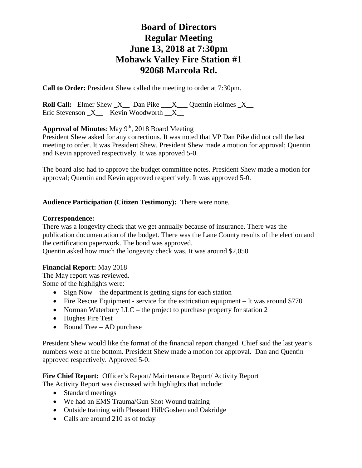**Call to Order:** President Shew called the meeting to order at 7:30pm.

**Roll Call:** Elmer Shew  $X$  Dan Pike  $X$  Quentin Holmes  $X$ Eric Stevenson  $X$  Kevin Woodworth  $X$ 

Approval of Minutes: May 9<sup>th</sup>, 2018 Board Meeting

President Shew asked for any corrections. It was noted that VP Dan Pike did not call the last meeting to order. It was President Shew. President Shew made a motion for approval; Quentin and Kevin approved respectively. It was approved 5-0.

The board also had to approve the budget committee notes. President Shew made a motion for approval; Quentin and Kevin approved respectively. It was approved 5-0.

### **Audience Participation (Citizen Testimony):** There were none.

#### **Correspondence:**

There was a longevity check that we get annually because of insurance. There was the publication documentation of the budget. There was the Lane County results of the election and the certification paperwork. The bond was approved.

Quentin asked how much the longevity check was. It was around \$2,050.

#### **Financial Report:** May 2018

The May report was reviewed. Some of the highlights were:

- Sign Now the department is getting signs for each station
- Fire Rescue Equipment service for the extrication equipment It was around \$770
- Norman Waterbury LLC the project to purchase property for station 2
- Hughes Fire Test
- Bound Tree AD purchase

President Shew would like the format of the financial report changed. Chief said the last year's numbers were at the bottom. President Shew made a motion for approval. Dan and Quentin approved respectively. Approved 5-0.

Fire Chief Report: Officer's Report/ Maintenance Report/ Activity Report The Activity Report was discussed with highlights that include:

- Standard meetings
- We had an EMS Trauma/Gun Shot Wound training
- Outside training with Pleasant Hill/Goshen and Oakridge
- Calls are around 210 as of today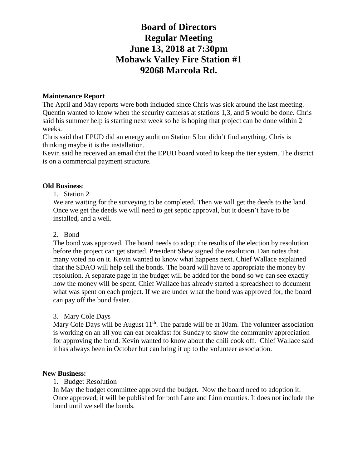### **Maintenance Report**

The April and May reports were both included since Chris was sick around the last meeting. Quentin wanted to know when the security cameras at stations 1,3, and 5 would be done. Chris said his summer help is starting next week so he is hoping that project can be done within 2 weeks.

Chris said that EPUD did an energy audit on Station 5 but didn't find anything. Chris is thinking maybe it is the installation.

Kevin said he received an email that the EPUD board voted to keep the tier system. The district is on a commercial payment structure.

### **Old Business**:

#### 1. Station 2

We are waiting for the surveying to be completed. Then we will get the deeds to the land. Once we get the deeds we will need to get septic approval, but it doesn't have to be installed, and a well.

#### 2. Bond

The bond was approved. The board needs to adopt the results of the election by resolution before the project can get started. President Shew signed the resolution. Dan notes that many voted no on it. Kevin wanted to know what happens next. Chief Wallace explained that the SDAO will help sell the bonds. The board will have to appropriate the money by resolution. A separate page in the budget will be added for the bond so we can see exactly how the money will be spent. Chief Wallace has already started a spreadsheet to document what was spent on each project. If we are under what the bond was approved for, the board can pay off the bond faster.

#### 3. Mary Cole Days

Mary Cole Days will be August  $11<sup>th</sup>$ . The parade will be at 10am. The volunteer association is working on an all you can eat breakfast for Sunday to show the community appreciation for approving the bond. Kevin wanted to know about the chili cook off. Chief Wallace said it has always been in October but can bring it up to the volunteer association.

#### **New Business:**

#### 1. Budget Resolution

In May the budget committee approved the budget. Now the board need to adoption it. Once approved, it will be published for both Lane and Linn counties. It does not include the bond until we sell the bonds.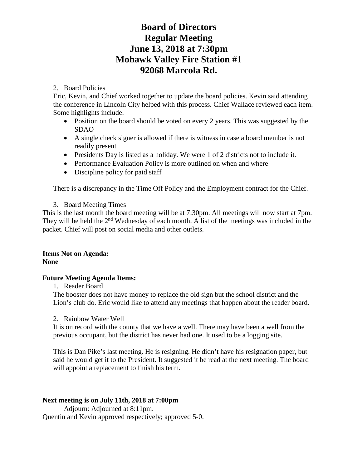## 2. Board Policies

Eric, Kevin, and Chief worked together to update the board policies. Kevin said attending the conference in Lincoln City helped with this process. Chief Wallace reviewed each item. Some highlights include:

- Position on the board should be voted on every 2 years. This was suggested by the SDAO
- A single check signer is allowed if there is witness in case a board member is not readily present
- Presidents Day is listed as a holiday. We were 1 of 2 districts not to include it.
- Performance Evaluation Policy is more outlined on when and where
- Discipline policy for paid staff

There is a discrepancy in the Time Off Policy and the Employment contract for the Chief.

3. Board Meeting Times

This is the last month the board meeting will be at 7:30pm. All meetings will now start at 7pm. They will be held the  $2<sup>nd</sup>$  Wednesday of each month. A list of the meetings was included in the packet. Chief will post on social media and other outlets.

### **Items Not on Agenda: None**

## **Future Meeting Agenda Items:**

1. Reader Board

The booster does not have money to replace the old sign but the school district and the Lion's club do. Eric would like to attend any meetings that happen about the reader board.

2. Rainbow Water Well

It is on record with the county that we have a well. There may have been a well from the previous occupant, but the district has never had one. It used to be a logging site.

This is Dan Pike's last meeting. He is resigning. He didn't have his resignation paper, but said he would get it to the President. It suggested it be read at the next meeting. The board will appoint a replacement to finish his term.

## **Next meeting is on July 11th, 2018 at 7:00pm**

Adjourn: Adjourned at 8:11pm. Quentin and Kevin approved respectively; approved 5-0.